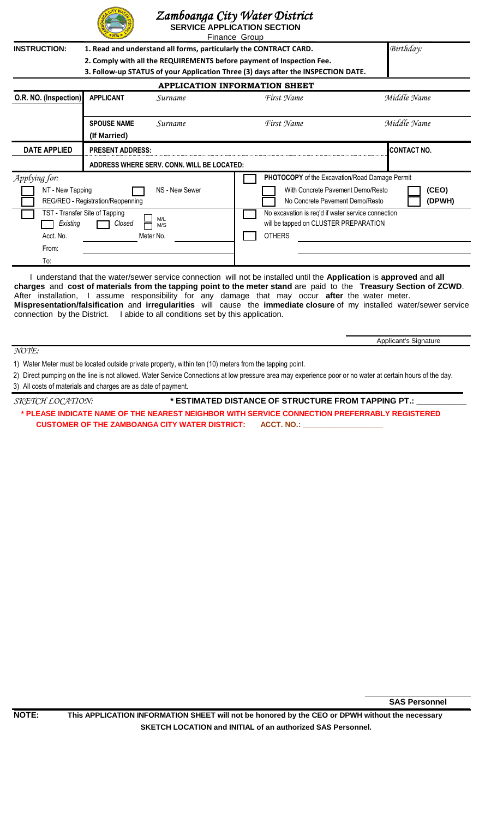

## *. Zamboanga City Water District*

|                                                                                          |                                                                                                                                                                                                                                 |                                                                                                                                           | Zumoodnga Cuy Walet District<br><b>SERVICE APPLICATION SECTION</b><br>Finance Group         |                    |  |  |  |
|------------------------------------------------------------------------------------------|---------------------------------------------------------------------------------------------------------------------------------------------------------------------------------------------------------------------------------|-------------------------------------------------------------------------------------------------------------------------------------------|---------------------------------------------------------------------------------------------|--------------------|--|--|--|
| <b>INSTRUCTION:</b>                                                                      | 1. Read and understand all forms, particularly the CONTRACT CARD.<br>2. Comply with all the REQUIREMENTS before payment of Inspection Fee.<br>3. Follow-up STATUS of your Application Three (3) days after the INSPECTION DATE. | Birthday:                                                                                                                                 |                                                                                             |                    |  |  |  |
| <b>APPLICATION INFORMATION SHEET</b>                                                     |                                                                                                                                                                                                                                 |                                                                                                                                           |                                                                                             |                    |  |  |  |
| O.R. NO. (Inspection)                                                                    | <b>APPLICANT</b>                                                                                                                                                                                                                | Surname                                                                                                                                   | First Name                                                                                  | Middle Name        |  |  |  |
|                                                                                          | <b>SPOUSE NAME</b><br>(If Married)                                                                                                                                                                                              | <i>Surname</i>                                                                                                                            | First Name                                                                                  | Middle Name        |  |  |  |
| <b>DATE APPLIED</b><br><b>PRESENT ADDRESS:</b>                                           |                                                                                                                                                                                                                                 |                                                                                                                                           |                                                                                             | <b>CONTACT NO.</b> |  |  |  |
| ADDRESS WHERE SERV. CONN. WILL BE LOCATED:                                               |                                                                                                                                                                                                                                 |                                                                                                                                           |                                                                                             |                    |  |  |  |
| Applying for:<br>NS - New Sewer<br>NT - New Tapping<br>REG/REO - Registration/Reopenning |                                                                                                                                                                                                                                 | PHOTOCOPY of the Excavation/Road Damage Permit<br>With Concrete Pavement Demo/Resto<br>(CEO)<br>(DPWH)<br>No Concrete Pavement Demo/Resto |                                                                                             |                    |  |  |  |
| TST - Transfer Site of Tapping<br>M/L<br>Existing<br>Closed<br>M/S                       |                                                                                                                                                                                                                                 |                                                                                                                                           | No excavation is req'd if water service connection<br>will be tapped on CLUSTER PREPARATION |                    |  |  |  |

 I understand that the water/sewer service connection will not be installed until the **Application** is **approved** and **all charges** and **cost of materials from the tapping point to the meter stand** are paid to the **Treasury Section of ZCWD**. After installation, I assume responsibility for any damage that may occur **after** the water meter. **Mispresentation/falsification** and **irregularities** will cause the **immediate closure** of my installed water/sewer service connection by the District. I abide to all conditions set by this application.

*NOTE:*

From: To:

1) Water Meter must be located outside private property, within ten (10) meters from the tapping point.

Acct. No. 6 Meter No. 2008 Meter No.

2) Direct pumping on the line is not allowed. Water Service Connections at low pressure area may experience poor or no water at certain hours of the day.

3) All costs of materials and charges are as date of payment.

 $\textit{SKETCH LOCATION:} \begin{minipage}{0.9\linewidth} \textit{SKTUMATED DISTANCE OF STRUCTURE FROM TAPPING PT.} \end{minipage}$ **\* PLEASE INDICATE NAME OF THE NEAREST NEIGHBOR WITH SERVICE CONNECTION PREFERRABLY REGISTERED CUSTOMER OF THE ZAMBOANGA CITY WATER DISTRICT: ACCT. NO.: \_** 

**SAS Personnel**

Applicant's Signature

**NOTE: This APPLICATION INFORMATION SHEET will not be honored by the CEO or DPWH without the necessary SKETCH LOCATION and INITIAL of an authorized SAS Personnel.**